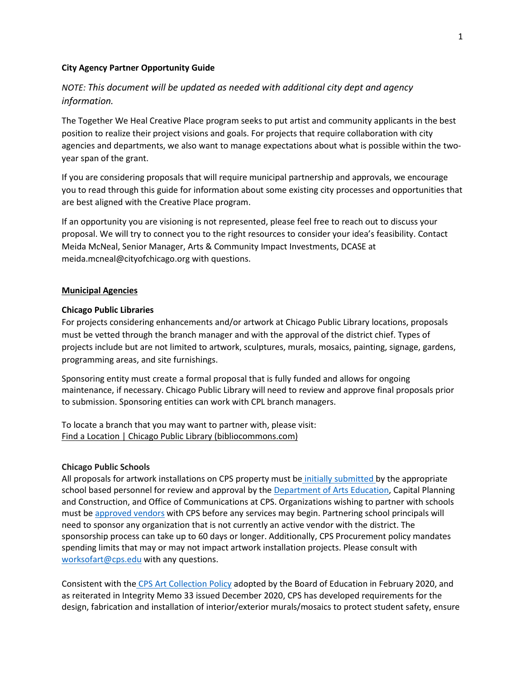#### **City Agency Partner Opportunity Guide**

# *NOTE: This document will be updated as needed with additional city dept and agency information.*

The Together We Heal Creative Place program seeks to put artist and community applicants in the best position to realize their project visions and goals. For projects that require collaboration with city agencies and departments, we also want to manage expectations about what is possible within the twoyear span of the grant.

If you are considering proposals that will require municipal partnership and approvals, we encourage you to read through this guide for information about some existing city processes and opportunities that are best aligned with the Creative Place program.

If an opportunity you are visioning is not represented, please feel free to reach out to discuss your proposal. We will try to connect you to the right resources to consider your idea's feasibility. Contact Meida McNeal, Senior Manager, Arts & Community Impact Investments, DCASE at [meida.mcneal@cityofchicago.org](mailto:meida.mcneal@cityofchicago.org) with questions.

#### **Municipal Agencies**

## **Chicago Public Libraries**

For projects considering enhancements and/or artwork at Chicago Public Library locations, proposals must be vetted through the branch manager and with the approval of the district chief. Types of projects include but are not limited to artwork, sculptures, murals, mosaics, painting, signage, gardens, programming areas, and site furnishings.

Sponsoring entity must create a formal proposal that is fully funded and allows for ongoing maintenance, if necessary. Chicago Public Library will need to review and approve final proposals prior to submission. Sponsoring entities can work with CPL branch managers.

To locate a branch that you may want to partner with, please visit: Find a Location | Chicago Public Library [\(bibliocommons.com\)](https://urldefense.com/v3/__https:/chipublib.bibliocommons.com/locations/?_ga=2.257442125.754610080.1654537533-1403098686.1613759280&_gl=1*1hrhyda*_ga*MTQwMzA5ODY4Ni4xNjEzNzU5Mjgw*_ga_11XNMTZ0HG*MTY1NDYzNjAwMC4xMzQuMC4xNjU0NjM2MDAwLjA.__;KioqKio!!B24N9PvjPQId!aJ5sM2X9OMREHAFv4WwDFMkCCcGedg1bxyjs6m9xsoxbzoCwkOqU57qg0lwGbo8qx3fIf3t57LfH3wlZq5Wzl1NOvSJAVw$)

#### **Chicago Public Schools**

All proposals for artwork installations on CPS property must be initially [submitted](https://urldefense.com/v3/__https:/www.cpsarts.org/news/school-artwork-approval-form/__;!!B24N9PvjPQId!Z6_W2_vH85DH0od9_zV2Rn-SEL9c5KxtbZTJarjPK_F9yJBsV0XJJ97kx0UeRmK25b34ILy6z3_LzC9hSVAIX10vheciDA$) by the appropriate school based personnel for review and approval by the [Department](https://urldefense.com/v3/__https:/www.cpsarts.org/__;!!B24N9PvjPQId!Z6_W2_vH85DH0od9_zV2Rn-SEL9c5KxtbZTJarjPK_F9yJBsV0XJJ97kx0UeRmK25b34ILy6z3_LzC9hSVAIX117m__4GQ$) of Arts Education, Capital Planning and Construction, and Office of Communications at CPS. Organizations wishing to partner with schools must be [approved](https://urldefense.com/v3/__https:/www.cps.edu/procurement/how-to-become-a-vendor/__;!!B24N9PvjPQId!Z6_W2_vH85DH0od9_zV2Rn-SEL9c5KxtbZTJarjPK_F9yJBsV0XJJ97kx0UeRmK25b34ILy6z3_LzC9hSVAIX10AYEcxwQ$) vendors with CPS before any services may begin. Partnering school principals will need to sponsor any organization that is not currently an active vendor with the district. The sponsorship process can take up to 60 days or longer. Additionally, CPS Procurement policy mandates spending limits that may or may not impact artwork installation projects. Please consult with [worksofart@cps.edu](mailto:worksofart@cps.edu) with any questions.

Consistent with the CPS Art [Collection](https://urldefense.com/v3/__https:/policy.cps.edu/download.aspx?ID=138__;!!B24N9PvjPQId!Z6_W2_vH85DH0od9_zV2Rn-SEL9c5KxtbZTJarjPK_F9yJBsV0XJJ97kx0UeRmK25b34ILy6z3_LzC9hSVAIX13YEja-tA$) Policy adopted by the Board of Education in February 2020, and as reiterated in Integrity Memo 33 issued December 2020, CPS has developed requirements for the design, fabrication and installation of interior/exterior murals/mosaics to protect student safety, ensure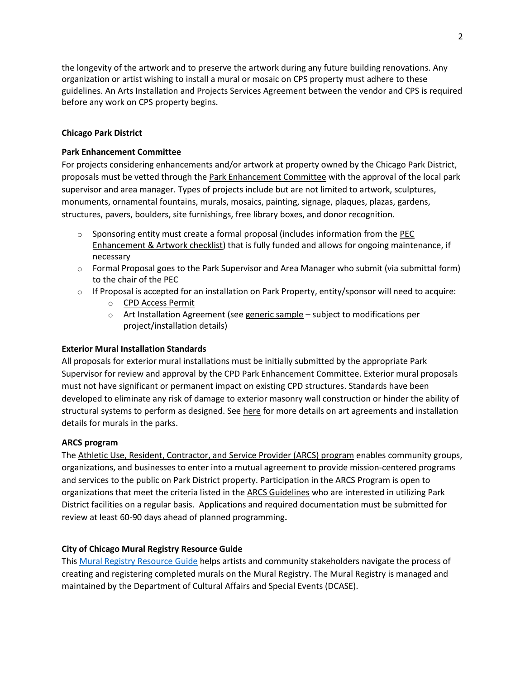the longevity of the artwork and to preserve the artwork during any future building renovations. Any organization or artist wishing to install a mural or mosaic on CPS property must adhere to these guidelines. An Arts Installation and Projects Services Agreement between the vendor and CPS is required before any work on CPS property begins.

## **Chicago Park District**

## **Park Enhancement Committee**

For projects considering enhancements and/or artwork at property owned by the Chicago Park District, proposals must be vetted through the [Park Enhancement Committee](https://www.chicago.gov/content/dam/city/depts/dca/Grants/twh/parkfaq.pdf) with the approval of the local park supervisor and area manager. Types of projects include but are not limited to artwork, sculptures, monuments, ornamental fountains, murals, mosaics, painting, signage, plaques, plazas, gardens, structures, pavers, boulders, site furnishings, free library boxes, and donor recognition.

- $\circ$  Sponsoring entity must create a formal proposal (includes information from the PEC [Enhancement & Artwork checklist\)](https://www.chicago.gov/content/dam/city/depts/dca/Grants/twh/artworkchecklist.pdf) that is fully funded and allows for ongoing maintenance, if necessary
- $\circ$  Formal Proposal goes to the Park Supervisor and Area Manager who submit (via submittal form) to the chair of the PEC
- $\circ$  If Proposal is accepted for an installation on Park Property, entity/sponsor will need to acquire:
	- o CPD Access [Permit](https://urldefense.com/v3/__https:/www.chicagoparkdistrict.com/general-access-permit__;!!B24N9PvjPQId!YJpsrxIjYafrckOAqZt9HObnTymm6J0yLPkgNhlnF9qWABC1Pc5LPjzbVPNrVAXqVcrntuDIgFcFNbP9D3XGPt65aQExaBoNNuvdfc4c4BkiwDg$)
	- $\circ$  Art Installation Agreement (se[e generic sample](https://www.chicago.gov/content/dam/city/depts/dca/Grants/twh/artagreement.pdf) subject to modifications per project/installation details)

## **Exterior Mural Installation Standards**

All proposals for exterior mural installations must be initially submitted by the appropriate Park Supervisor for review and approval by the CPD Park Enhancement Committee. Exterior mural proposals must not have significant or permanent impact on existing CPD structures. Standards have been developed to eliminate any risk of damage to exterior masonry wall construction or hinder the ability of structural systems to perform as designed. Se[e here](https://www.chicago.gov/content/dam/city/depts/dca/Grants/twh/cpdrmural.pdf) for more details on art agreements and installation details for murals in the parks.

## **ARCS program**

The [Athletic Use, Resident, Contractor, and Service Provider \(ARCS\) program](https://www.chicagoparkdistrict.com/doing-business/arcs-program) enables community groups, organizations, and businesses to enter into a mutual agreement to provide mission-centered programs and services to the public on Park District property. Participation in the ARCS Program is open to organizations that meet the criteria listed in the [ARCS Guidelines](https://assets.chicagoparkdistrict.com/s3fs-public/documents/departments/New%20Business%20Development/ARCS/Updates%20-%20Nov%202021/ARCS%20Guidelines-Final%20092421.pdf) who are interested in utilizing Park District facilities on a regular basis. Applications and required documentation must be submitted for review at least 60-90 days ahead of planned programming**.**

## **City of Chicago Mural Registry Resource Guide**

Thi[s Mural Registry Resource Guide](https://www.chicago.gov/content/dam/city/depts/dca/Public%20Art/mural_registry/muralresourceguide.pdf) helps artists and community stakeholders navigate the process of creating and registering completed murals on the Mural Registry. The Mural Registry is managed and maintained by the Department of Cultural Affairs and Special Events (DCASE).